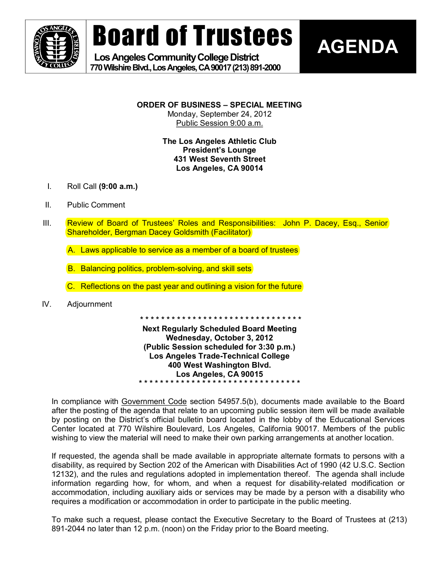

# Board of Trustees

Los Angeles Community College District **770WilshireBlvd.,LosAngeles,CA90017(213)8912000** 



**ORDER OF BUSINESS – SPECIAL MEETING** Monday, September 24, 2012

Public Session 9:00 a.m.

**The Los Angeles Athletic Club President's Lounge 431 West Seventh Street Los Angeles, CA 90014**

- I. Roll Call **(9:00 a.m.)**
- II. Public Comment
- III. Review of Board of Trustees' Roles and Responsibilities: John P. Dacey, Esq., Senior Shareholder, Bergman Dacey Goldsmith (Facilitator)
	- A. Laws applicable to service as a member of a board of trustees
	- B. Balancing politics, problem-solving, and skill sets
	- C. Reflections on the past year and outlining a vision for the future
- IV. Adjournment

**\* \* \* \* \* \* \* \* \* \* \* \* \* \* \* \* \* \* \* \* \* \* \* \* \* \* \* \* \* \* \***

**Next Regularly Scheduled Board Meeting Wednesday, October 3, 2012 (Public Session scheduled for 3:30 p.m.) Los Angeles Trade-Technical College 400 West Washington Blvd. Los Angeles, CA 90015 \* \* \* \* \* \* \* \* \* \* \* \* \* \* \* \* \* \* \* \* \* \* \* \* \* \* \* \* \* \* \***

In compliance with Government Code section 54957.5(b), documents made available to the Board after the posting of the agenda that relate to an upcoming public session item will be made available by posting on the District's official bulletin board located in the lobby of the Educational Services Center located at 770 Wilshire Boulevard, Los Angeles, California 90017. Members of the public wishing to view the material will need to make their own parking arrangements at another location.

If requested, the agenda shall be made available in appropriate alternate formats to persons with a disability, as required by Section 202 of the American with Disabilities Act of 1990 (42 U.S.C. Section 12132), and the rules and regulations adopted in implementation thereof. The agenda shall include information regarding how, for whom, and when a request for disability-related modification or accommodation, including auxiliary aids or services may be made by a person with a disability who requires a modification or accommodation in order to participate in the public meeting.

To make such a request, please contact the Executive Secretary to the Board of Trustees at (213) 891-2044 no later than 12 p.m. (noon) on the Friday prior to the Board meeting.